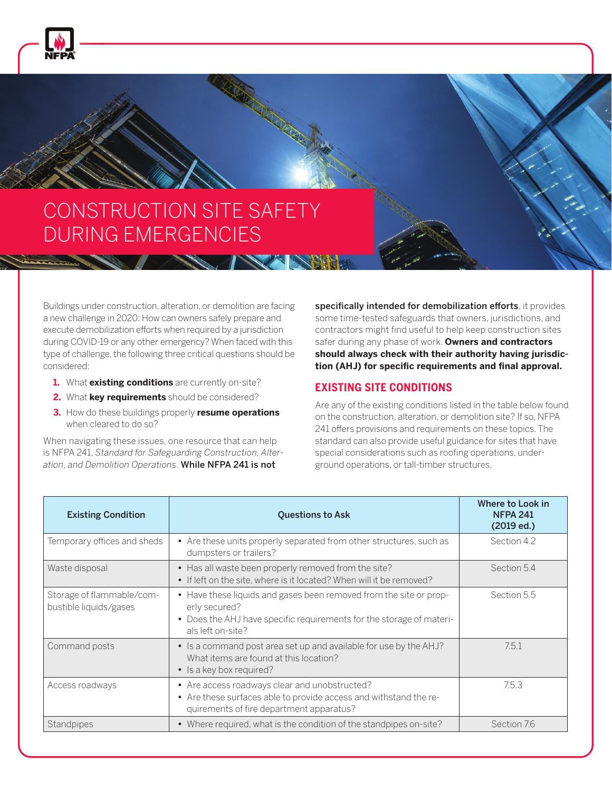

## CONSTRUCTION SITE SAFETY DURING EMERGENCIES

**STANDARD AND STANDARD STANDARD STANDARD STANDARD STANDARD STANDARD STANDARD STANDARD STANDARD STANDARD STANDARD** 

Buildings under construction, alteration, or demolition are facing a new challenge in 2020: How can owners safely prepare and execute demobilization efforts when required by a jurisdiction during COVID-19 or any other emergency? When faced with this type of challenge, the following three critical questions should be considered:

- **1.** What **existing conditions** are currently on-site?
- **2.** What **key requirements** should be considered?
- **3.** How do these buildings properly **resume operations** when cleared to do so?

When navigating these issues, one resource that can help is NFPA 241, *Standard for Safeguarding Construction, Alteration, and Demolition Operations*. While NFPA 241 is not

specifically intended for demobilization efforts, it provides some time-tested safeguards that owners, jurisdictions, and contractors might find useful to help keep construction sites safer during any phase of work. **Owners and contractors should always check with their authority having jurisdic**tion (AHJ) for specific requirements and final approval.

## **EXISTING SITE CONDITIONS**

Are any of the existing conditions listed in the table below found on the construction, alteration, or demolition site? If so, NFPA 241 offers provisions and requirements on these topics. The standard can also provide useful guidance for sites that have special considerations such as roofing operations, underground operations, or tall-timber structures.

| <b>Existing Condition</b>                           | <b>Questions to Ask</b>                                                                                                                                                          | Where to Look in<br><b>NFPA 241</b><br>(2019 ed.) |
|-----------------------------------------------------|----------------------------------------------------------------------------------------------------------------------------------------------------------------------------------|---------------------------------------------------|
| Temporary offices and sheds                         | • Are these units properly separated from other structures, such as<br>dumpsters or trailers?                                                                                    | Section 4.2                                       |
| Waste disposal                                      | • Has all waste been properly removed from the site?<br>• If left on the site, where is it located? When will it be removed?                                                     | Section 5.4                                       |
| Storage of flammable/com-<br>bustible liquids/gases | • Have these liquids and gases been removed from the site or prop-<br>erly secured?<br>• Does the AHJ have specific requirements for the storage of materi-<br>als left on-site? | Section 5.5                                       |
| Command posts                                       | • Is a command post area set up and available for use by the AHJ?<br>What items are found at this location?<br>• Is a key box required?                                          | 7.5.1                                             |
| Access roadways                                     | • Are access roadways clear and unobstructed?<br>• Are these surfaces able to provide access and withstand the re-<br>quirements of fire department apparatus?                   | 7.5.3                                             |
| Standpipes                                          | • Where required, what is the condition of the standpipes on-site?                                                                                                               | Section 7.6                                       |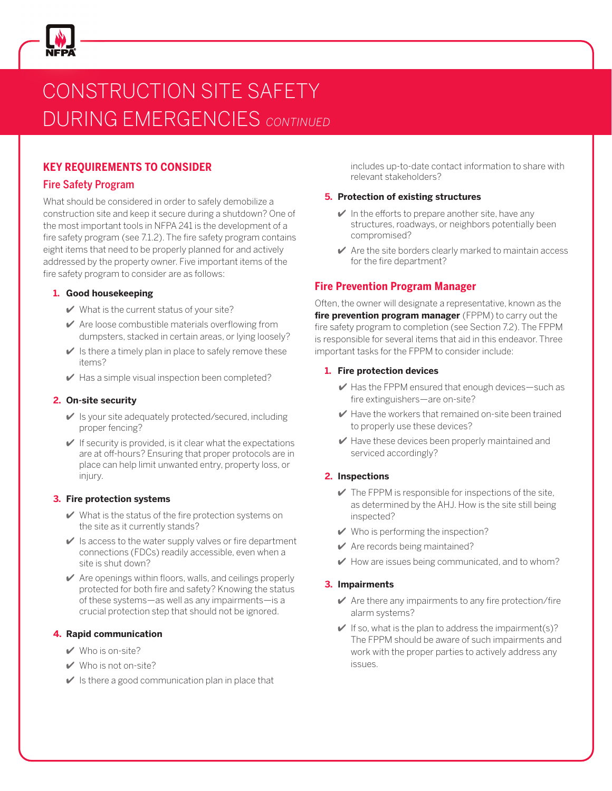

# CONSTRUCTION SITE SAFETY DURING EMERGENCIES *CONTINUED*

## **KEY REQUIREMENTS TO CONSIDER**

### Fire Safety Program

What should be considered in order to safely demobilize a construction site and keep it secure during a shutdown? One of the most important tools in NFPA 241 is the development of a fire safety program (see 7.1.2). The fire safety program contains eight items that need to be properly planned for and actively addressed by the property owner. Five important items of the fire safety program to consider are as follows:

#### **1. Good housekeeping**

- $\vee$  What is the current status of your site?
- $\vee$  Are loose combustible materials overflowing from dumpsters, stacked in certain areas, or lying loosely?
- $\vee$  Is there a timely plan in place to safely remove these items?
- $\blacktriangleright$  Has a simple visual inspection been completed?

#### **2. On-site security**

- $\vee$  Is your site adequately protected/secured, including proper fencing?
- $\vee$  If security is provided, is it clear what the expectations are at off-hours? Ensuring that proper protocols are in place can help limit unwanted entry, property loss, or injury.

#### **3. Fire protection systems**

- $\vee$  What is the status of the fire protection systems on the site as it currently stands?
- $\vee$  Is access to the water supply valves or fire department connections (FDCs) readily accessible, even when a site is shut down?
- $\vee$  Are openings within floors, walls, and ceilings properly protected for both fire and safety? Knowing the status of these systems—as well as any impairments—is a crucial protection step that should not be ignored.

### **4. Rapid communication**

- $\vee$  Who is on-site?
- $\vee$  Who is not on-site?
- $\vee$  Is there a good communication plan in place that

includes up-to-date contact information to share with relevant stakeholders?

#### **5. Protection of existing structures**

- $\vee$  In the efforts to prepare another site, have any structures, roadways, or neighbors potentially been compromised?
- $\blacktriangleright$  Are the site borders clearly marked to maintain access for the fire department?

## **Fire Prevention Program Manager**

Often, the owner will designate a representative, known as the **fire prevention program manager** (FPPM) to carry out the fire safety program to completion (see Section 7.2). The FPPM is responsible for several items that aid in this endeavor. Three important tasks for the FPPM to consider include:

#### **1. Fire protection devices**

- $\vee$  Has the FPPM ensured that enough devices—such as fire extinguishers—are on-site?
- $\blacktriangleright$  Have the workers that remained on-site been trained to properly use these devices?
- $\vee$  Have these devices been properly maintained and serviced accordingly?

### **2. Inspections**

- $\vee$  The FPPM is responsible for inspections of the site, as determined by the AHJ. How is the site still being inspected?
- $\vee$  Who is performing the inspection?
- $\vee$  Are records being maintained?
- $\blacktriangleright$  How are issues being communicated, and to whom?

#### **3. Impairments**

- $\blacktriangleright$  Are there any impairments to any fire protection/fire alarm systems?
- $\vee$  If so, what is the plan to address the impairment(s)? The FPPM should be aware of such impairments and work with the proper parties to actively address any issues.